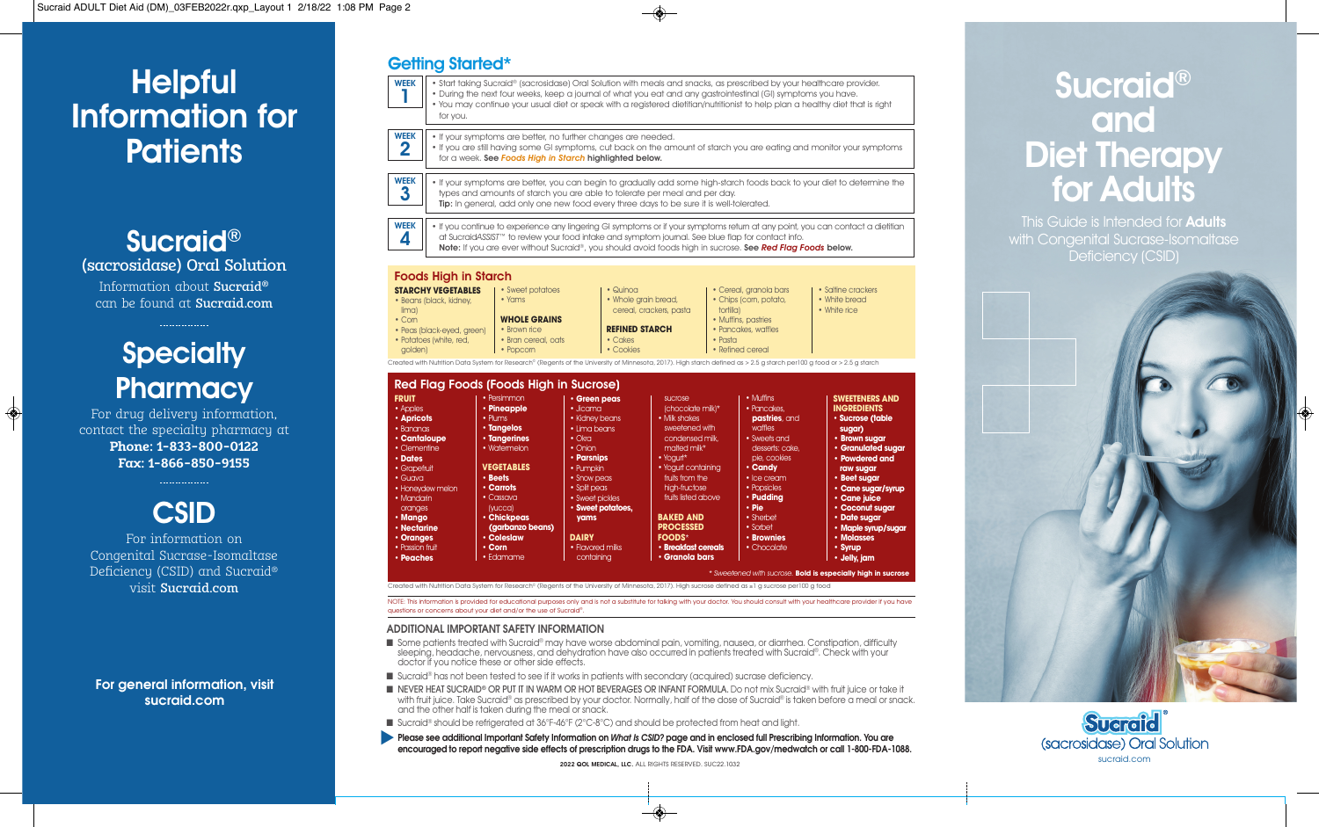# **Helpful** Information for **Patients**

# Sucraid® (sacrosidase) Oral Solution Information about Sucraid® can be found at Sucraid.com

# **Specialty Pharmacy**

For drug delivery information, contact the specialty pharmacy at **Phone: 1-833-800-0122 Fax: 1-866-850-9155** 



Congenital Sucrase-Isomaltase Deficiency (CSID) and Sucraid® visit Sucraid.com

## **For general information, visit sucraid.com**

#### • You may continue your usual diet or speak with a registered dietitian/nutritionist to help plan a healthy diet that is right for you. • If your symptoms are better, no further changes are needed. • If you are still having some GI symptoms, cut back on the amount of starch you are eating and monitor your symptoms for a week. See *Foods High in Starch* highlighted below. • If your symptoms are better, you can begin to gradually add some high-starch foods back to your diet to determine the types and amounts of starch you are able to tolerate per meal and per day. Tip: In general, add only one new food every three days to be sure it is well-tolerated. • If you continue to experience any lingering GI symptoms or if your symptoms return at any point, you can contact a dietitian at Sucraid*ASSIST*™ to review your food intake and symptom journal. See blue flap for contact info. Note: If you are ever without Sucraid®, you should avoid foods high in sucrose. See *Red Flag Foods* below. WEEK  $\Delta$ 1 WEEK 2 WEEK 3

• Saltine crackers • White bread • White rice

• Start taking Sucraid® (sacrosidase) Oral Solution with meals and snacks, as prescribed by your healthcare provider. • During the next four weeks, keep a journal of what you eat and any gastrointestinal (GI) symptoms you have.

## Foods High in Starch

Getting Started\*

WEEK



# Red Flag Foods (Foods High in Sucrose)

| <b>FRUIT</b>     | • Persimmon         | • Green peas      | <b>SUCrose</b>      | $\bullet$ Muffins | <b>SWEETENERS AND</b> |
|------------------|---------------------|-------------------|---------------------|-------------------|-----------------------|
| • Apples         | • Pineapple         | $\cdot$ Jicama    | (chocolate milk)*   | • Pancakes,       | <b>INGREDIENTS</b>    |
| · Apricots       | • Plums             | • Kidney beans    | • Milk shakes       | pastries, and     | · Sucrose (table      |
| • Bananas        | · Tangelos          | · Lima beans      | sweetened with      | waffles           | sugar)                |
| • Cantaloupe     | <b>· Tangerines</b> | $\bullet$ Okra    | condensed milk.     | • Sweets and      | • Brown sugar         |
| • Clementine     | • Watermelon        | $\bullet$ Onion   | malted milk*        | desserts: cake,   | • Granulated sugar    |
| • Dates          |                     | • Parsnips        | $\cdot$ Yoaurt*     | pie, cookies      | • Powdered and        |
| · Grapefruit     | <b>VEGETABLES</b>   | • Pumpkin         | • Yogurt containing | $\cdot$ Candy     | raw sugar             |
| $\bullet$ Guava  | · Beets             | • Snow peas       | fruits from the     | · Ice cream.      | • Beet sugar          |
| • Honeydew melon | • Carrots           | • Split peas      | high-fructose       | • Popsicles       | • Cane sugar/syrup    |
| • Mandarin       | • Cassava           | • Sweet pickles   | fruits listed above | • Pudding         | • Cane juice          |
| oranges          | (yucca)             | · Sweet potatoes, |                     | • Pie             | • Coconut sugar       |
| · Mango          | · Chickpeas         | yams              | <b>BAKED AND</b>    | • Sherbet         | · Date sugar          |
| • Nectarine      | (garbanzo beans)    |                   | <b>PROCESSED</b>    | • Sorbet          | · Maple syrup/sugar   |
| · Oranges        | • Coleslaw          | <b>DAIRY</b>      | <b>FOODS*</b>       | • Brownies        | • Molasses            |
| • Passion fruit  | $\cdot$ Corn        | • Flavored milks  | · Breakfast cereals | • Chocolate       | · Syrup               |
| • Peaches        | • Edamame           | containina        | • Granola bars      |                   | • Jelly, jam          |

Created with Nutrition Data System for Research® (Regents of the University of Minnesota, 2017). High sucrose defined as ≥1 a sucrose per100 a food

NOTE: This information is provided for educational purposes only and is not a substitute for talking with your doctor. You should consult with your healthcare provider if you have questions or concerns about your diet and/or the use of Sucraid®

## **ADDITIONAL IMPORTANT SAFETY INFORMATION**

- Some patients treated with Sucraid® may have worse abdominal pain, vomiting, nausea, or diarrhea. Constipation, difficulty sleeping, headache, nervousness, and dehydration have also occurred in patients treated with Sucraid®. Check with your doctor if you notice these or other side effects.
- Sucraid® has not been tested to see if it works in patients with secondary (acquired) sucrase deficiency.
- NEVER HEAT SUCRAID® OR PUT IT IN WARM OR HOT BEVERAGES OR INFANT FORMULA. Do not mix Sucraid® with fruit juice or take it with fruit juice. Take Sucraid® as prescribed by your doctor. Normally, half of the dose of Sucraid® is taken before a meal or snack. and the other half is taken during the meal or snack.
- Sucraid® should be refrigerated at 36°F-46°F (2°C-8°C) and should be protected from heat and light.
- **Please see additional Important Safety Information on** *What Is CSID?* **page and in enclosed full Prescribing Information. You are encouraged to report negative side effects of prescription drugs to the FDA. Visit www.FDA.gov/medwatch or call 1-800-FDA-1088.** s

2022 QOL MEDICAL, LLC. ALL RIGHTS RESERVED. SUC22.1032

# Sucraid® and Diet Therapy for Adults

This Guide is Intended for **Adults** with Congenital Sucrase-Isomaltase Deficiency (CSID)